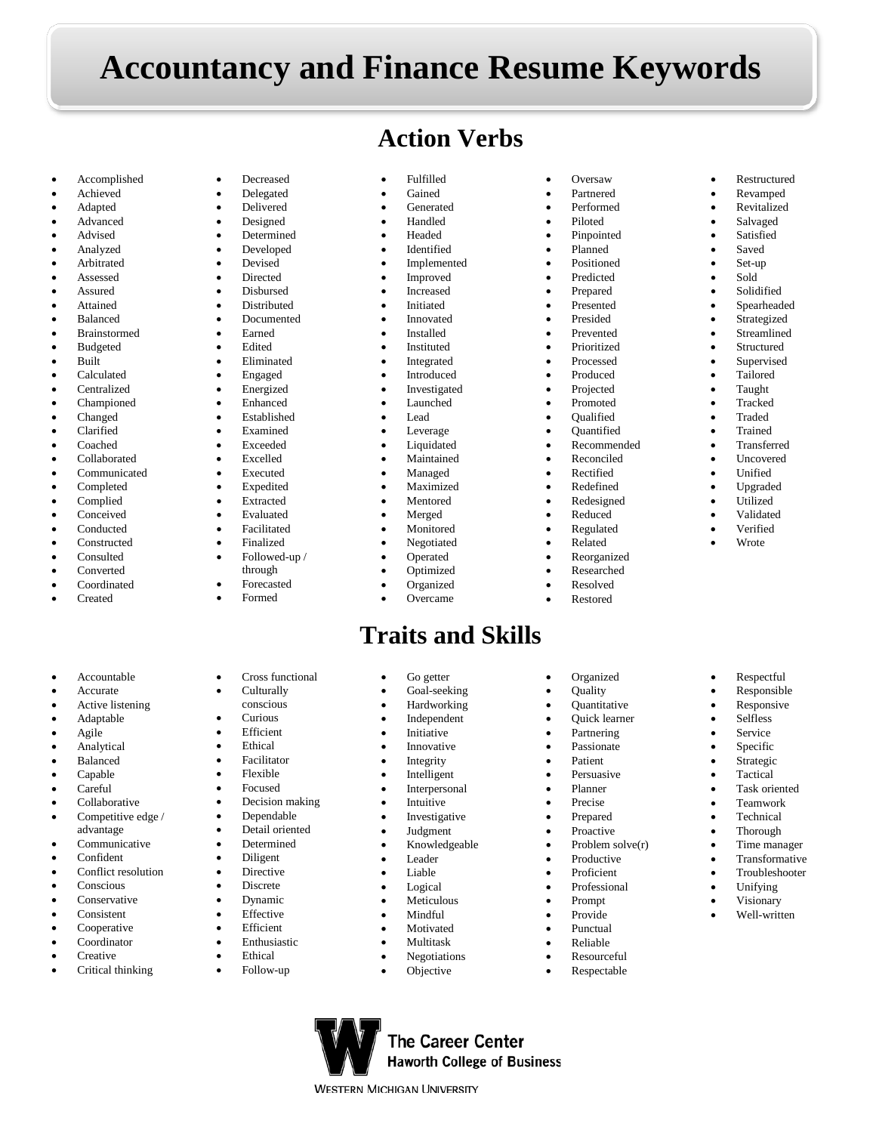## **Accountancy and Finance Resume Keywords**

• Fulfilled **Gained Generated** • Handled • Headed **Identified Implemented** • Improved **Increased Initiated Innovated Installed Instituted** • Integrated **Introduced Investigated Launched** • Lead **Leverage Liquidated Maintained** • Managed **Maximized Mentored** • Merged **Monitored Negotiated** • Operated • Optimized **Organized** • Overcame

## **Action Verbs**

**Traits and Skills**

**The Career Center Haworth College of Business** 

**WESTERN MICHIGAN UNIVERSITY** 

Go getter Goal-seeking • Hardworking **Independent Initiative Innovative Integrity Intelligent Interpersonal Intuitive Investigative** • Judgment • Knowledgeable **Leader** • Liable **Logical Meticulous** • Mindful **Motivated** • Multitask • Negotiations **Objective** 

• Oversaw • Partnered • Performed • Piloted • Pinpointed • Planned • Positioned • Predicted • Prepared • Presented • Presided **Prevented Prioritized** • Processed • Produced • Projected • Promoted • Qualified • Quantified • Recommended • Reconciled **Rectified Redefined** • Redesigned • Reduced • Regulated • Related • Reorganized • Researched • Resolved • Restored

**Organized** • Quality • Quantitative • Quick learner **Partnering Passionate** • Patient **Persuasive** • Planner • Precise • Prepared **Proactive** • Problem solve $(r)$ **Productive** • Proficient • Professional • Prompt **Provide** • Punctual • Reliable • Resourceful **Respectable** 

• Restructured • Revamped **Revitalized Salvaged Satisfied** Saved • Set-up • Sold **Solidified Spearheaded** • Strategized **Streamlined Structured** • Supervised • Tailored • Taught **Tracked** • Traded **Trained** • Transferred • Uncovered • Unified • Upgraded • Utilized • Validated • Verified • Wrote

• Respectful • Responsible **Responsive Selfless** Service **Specific Strategic Tactical** Task oriented • Teamwork **Technical** • Thorough • Time manager **Transformative** • Troubleshooter • Unifying • Visionary • Well-written

- Accomplished
- Achieved
- Adapted
- Advanced • Advised
- Analyzed
- **Arbitrated**
- Assessed
- **Assured**
- **Attained**
- Balanced
- **Brainstormed**
- **Budgeted**
- Built
- Calculated
- **Centralized**
- Championed
- Changed
- Clarified
- Coached • Collaborated
- Communicated
- Completed
- Complied
- **Conceived**
- Conducted
- Constructed
- Consulted
- **Converted**
- **Coordinated**
- Created
- **Accountable**
- **Accurate**
- Active listening
- Adaptable
- Agile
- Analytical
- Balanced • Capable
- 
- Careful
- Collaborative • Competitive edge /
- advantage
- Communicative
- Confident
- Conflict resolution
- Conscious
- Conservative **Consistent**
- Cooperative
- Coordinator
- **Creative**
- Critical thinking
- **Decreased** • Delegated
- Delivered
- Designed
- **Determined**
- Developed • Devised
- Directed
- Disbursed
- **Distributed**
- Documented
- Earned
- Edited
- Eliminated
- Engaged
- **Energized**
- Enhanced
- Established
- **Examined**
- Exceeded
- Excelled
- **Executed**
- **Expedited**
- **Extracted**
- Evaluated
- Facilitated • Finalized
- Followed-up /
- 
- through
- **Forecasted**
- Formed
- Cross functional
- **Culturally**
- conscious
- Curious **Efficient**
- Ethical
- **Facilitator**
- Flexible
- Focused
- Decision making
- Dependable
- Detail oriented
- Determined
- Diligent **Directive**
- Discrete
- Dynamic
- **Effective**
- Efficient
- Enthusiastic
- **Ethical**
- Follow-up